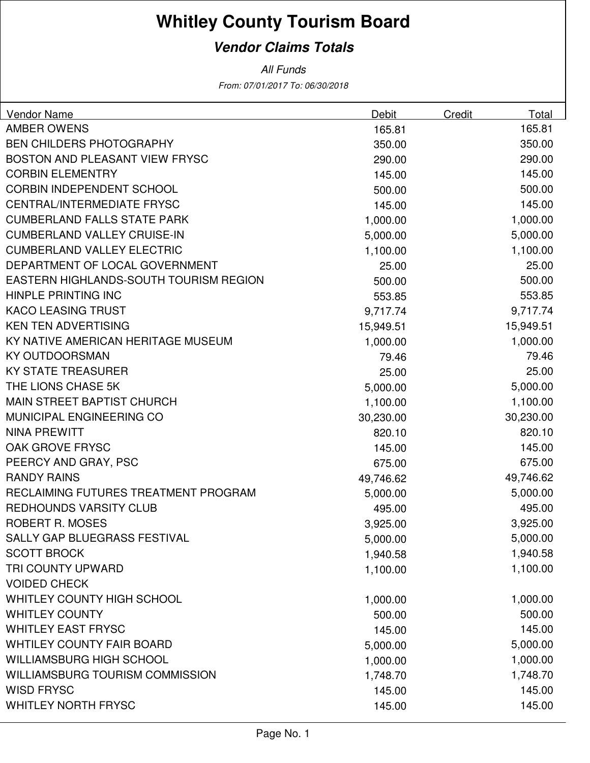## **Whitley County Tourism Board**

## **Vendor Claims Totals**

From: 07/01/2017 To: 06/30/2018 All Funds

| <b>Vendor Name</b>                     | Debit     | Credit | Total     |
|----------------------------------------|-----------|--------|-----------|
| <b>AMBER OWENS</b>                     | 165.81    |        | 165.81    |
| <b>BEN CHILDERS PHOTOGRAPHY</b>        | 350.00    |        | 350.00    |
| <b>BOSTON AND PLEASANT VIEW FRYSC</b>  | 290.00    |        | 290.00    |
| <b>CORBIN ELEMENTRY</b>                | 145.00    |        | 145.00    |
| <b>CORBIN INDEPENDENT SCHOOL</b>       | 500.00    |        | 500.00    |
| CENTRAL/INTERMEDIATE FRYSC             | 145.00    |        | 145.00    |
| <b>CUMBERLAND FALLS STATE PARK</b>     | 1,000.00  |        | 1,000.00  |
| <b>CUMBERLAND VALLEY CRUISE-IN</b>     | 5,000.00  |        | 5,000.00  |
| <b>CUMBERLAND VALLEY ELECTRIC</b>      | 1,100.00  |        | 1,100.00  |
| DEPARTMENT OF LOCAL GOVERNMENT         | 25.00     |        | 25.00     |
| EASTERN HIGHLANDS-SOUTH TOURISM REGION | 500.00    |        | 500.00    |
| HINPLE PRINTING INC                    | 553.85    |        | 553.85    |
| <b>KACO LEASING TRUST</b>              | 9,717.74  |        | 9,717.74  |
| <b>KEN TEN ADVERTISING</b>             | 15,949.51 |        | 15,949.51 |
| KY NATIVE AMERICAN HERITAGE MUSEUM     | 1,000.00  |        | 1,000.00  |
| <b>KY OUTDOORSMAN</b>                  | 79.46     |        | 79.46     |
| <b>KY STATE TREASURER</b>              | 25.00     |        | 25.00     |
| THE LIONS CHASE 5K                     | 5,000.00  |        | 5,000.00  |
| MAIN STREET BAPTIST CHURCH             | 1,100.00  |        | 1,100.00  |
| MUNICIPAL ENGINEERING CO               | 30,230.00 |        | 30,230.00 |
| <b>NINA PREWITT</b>                    | 820.10    |        | 820.10    |
| OAK GROVE FRYSC                        | 145.00    |        | 145.00    |
| PEERCY AND GRAY, PSC                   | 675.00    |        | 675.00    |
| <b>RANDY RAINS</b>                     | 49,746.62 |        | 49,746.62 |
| RECLAIMING FUTURES TREATMENT PROGRAM   | 5,000.00  |        | 5,000.00  |
| <b>REDHOUNDS VARSITY CLUB</b>          | 495.00    |        | 495.00    |
| ROBERT R. MOSES                        | 3,925.00  |        | 3,925.00  |
| SALLY GAP BLUEGRASS FESTIVAL           | 5,000.00  |        | 5,000.00  |
| <b>SCOTT BROCK</b>                     | 1,940.58  |        | 1,940.58  |
| TRI COUNTY UPWARD                      | 1,100.00  |        | 1,100.00  |
| <b>VOIDED CHECK</b>                    |           |        |           |
| WHITLEY COUNTY HIGH SCHOOL             | 1,000.00  |        | 1,000.00  |
| <b>WHITLEY COUNTY</b>                  | 500.00    |        | 500.00    |
| <b>WHITLEY EAST FRYSC</b>              | 145.00    |        | 145.00    |
| <b>WHTILEY COUNTY FAIR BOARD</b>       | 5,000.00  |        | 5,000.00  |
| WILLIAMSBURG HIGH SCHOOL               | 1,000.00  |        | 1,000.00  |
| WILLIAMSBURG TOURISM COMMISSION        | 1,748.70  |        | 1,748.70  |
| <b>WISD FRYSC</b>                      | 145.00    |        | 145.00    |
| <b>WHITLEY NORTH FRYSC</b>             | 145.00    |        | 145.00    |
|                                        |           |        |           |